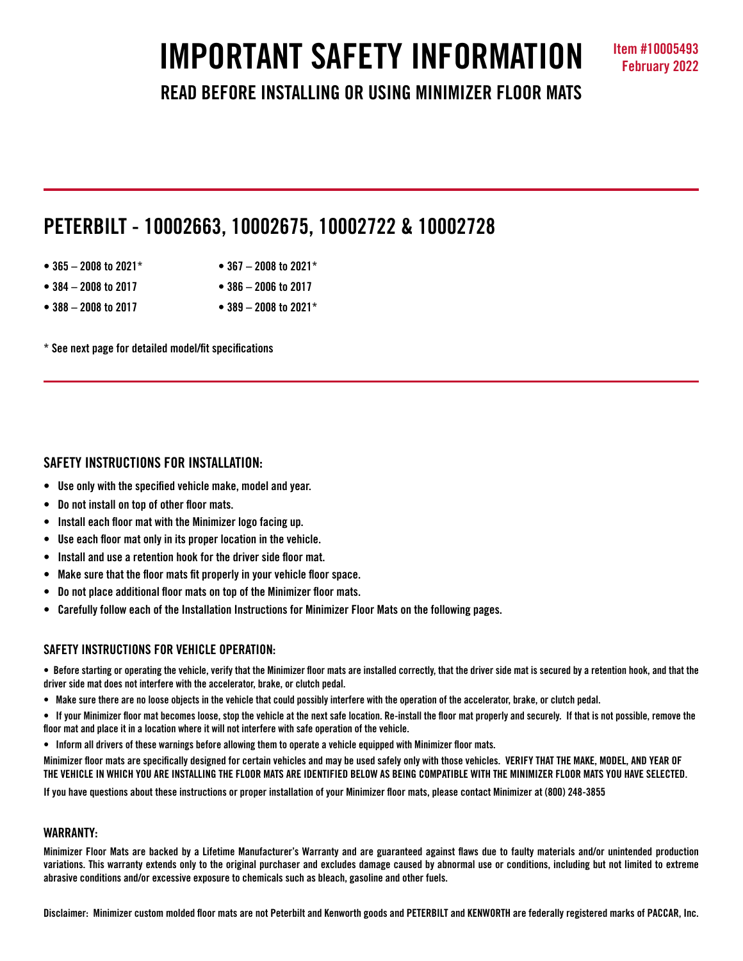# **IMPORTANT SAFETY INFORMATION Item #10005493**

**READ BEFORE INSTALLING OR USING MINIMIZER FLOOR MATS**

# **PETERBILT - 10002663, 10002675, 10002722 & 10002728**

- **365 2008 to 2021\* 367 2008 to 2021\***
- **384 2008 to 2017 386 2006 to 2017**
- **388 2008 to 2017 389 2008 to 2021\***

**\* See next page for detailed model/fit specifications**

# **SAFETY INSTRUCTIONS FOR INSTALLATION:**

- **Use only with the specified vehicle make, model and year.**
- **Do not install on top of other floor mats.**
- **Install each floor mat with the Minimizer logo facing up.**
- **Use each floor mat only in its proper location in the vehicle.**
- **Install and use a retention hook for the driver side floor mat.**
- **Make sure that the floor mats fit properly in your vehicle floor space.**
- **Do not place additional floor mats on top of the Minimizer floor mats.**
- **Carefully follow each of the Installation Instructions for Minimizer Floor Mats on the following pages.**

# **SAFFTY INSTRUCTIONS FOR VEHICLE OPERATION:**

**• Before starting or operating the vehicle, verify that the Minimizer floor mats are installed correctly, that the driver side mat is secured by a retention hook, and that the driver side mat does not interfere with the accelerator, brake, or clutch pedal.**

**• Make sure there are no loose objects in the vehicle that could possibly interfere with the operation of the accelerator, brake, or clutch pedal.**

**• If your Minimizer floor mat becomes loose, stop the vehicle at the next safe location. Re-install the floor mat properly and securely. If that is not possible, remove the floor mat and place it in a location where it will not interfere with safe operation of the vehicle.**

**• Inform all drivers of these warnings before allowing them to operate a vehicle equipped with Minimizer floor mats.**

**Minimizer floor mats are specifically designed for certain vehicles and may be used safely only with those vehicles. VERIFY THAT THE MAKE, MODEL, AND YEAR OF THE VEHICLE IN WHICH YOU ARE INSTALLING THE FLOOR MATS ARE IDENTIFIED BELOW AS BEING COMPATIBLE WITH THE MINIMIZER FLOOR MATS YOU HAVE SELECTED.** 

**If you have questions about these instructions or proper installation of your Minimizer floor mats, please contact Minimizer at (800) 248-3855**

# **WARRANTY:**

**Minimizer Floor Mats are backed by a Lifetime Manufacturer's Warranty and are guaranteed against flaws due to faulty materials and/or unintended production variations. This warranty extends only to the original purchaser and excludes damage caused by abnormal use or conditions, including but not limited to extreme abrasive conditions and/or excessive exposure to chemicals such as bleach, gasoline and other fuels.**

**Disclaimer: Minimizer custom molded floor mats are not Peterbilt and Kenworth goods and PETERBILT and KENWORTH are federally registered marks of PACCAR, Inc.**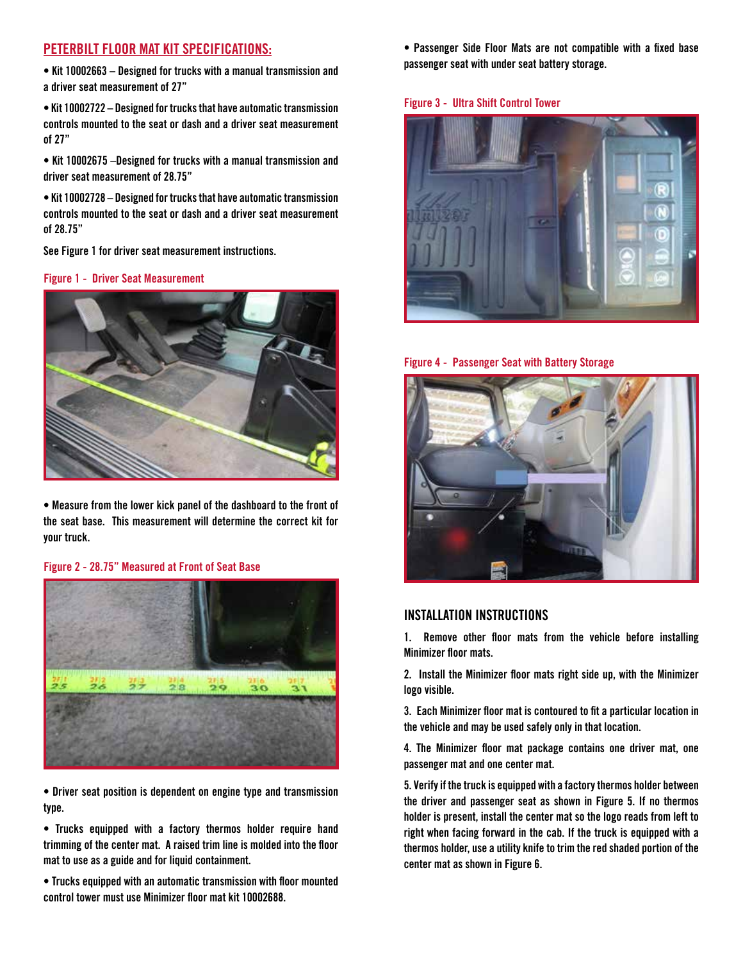## **PETERBILT FLOOR MAT KIT SPECIFICATIONS:**

**• Kit 10002663 – Designed for trucks with a manual transmission and a driver seat measurement of 27"**

**• Kit 10002722 – Designed for trucks that have automatic transmission controls mounted to the seat or dash and a driver seat measurement of 27"** 

**• Kit 10002675 –Designed for trucks with a manual transmission and driver seat measurement of 28.75"**

**• Kit 10002728 – Designed for trucks that have automatic transmission controls mounted to the seat or dash and a driver seat measurement of 28.75"**

**See Figure 1 for driver seat measurement instructions.**

#### **Figure 1 - Driver Seat Measurement**



**• Measure from the lower kick panel of the dashboard to the front of the seat base. This measurement will determine the correct kit for your truck.**

#### **Figure 2 - 28.75" Measured at Front of Seat Base**



**• Driver seat position is dependent on engine type and transmission type.**

**• Trucks equipped with a factory thermos holder require hand trimming of the center mat. A raised trim line is molded into the floor mat to use as a guide and for liquid containment.** 

**• Trucks equipped with an automatic transmission with floor mounted control tower must use Minimizer floor mat kit 10002688.**

**• Passenger Side Floor Mats are not compatible with a fixed base passenger seat with under seat battery storage.** 

#### **Figure 3 - Ultra Shift Control Tower**







### **INSTALLATION INSTRUCTIONS**

**1. Remove other floor mats from the vehicle before installing Minimizer floor mats.**

**2. Install the Minimizer floor mats right side up, with the Minimizer logo visible.**

**3. Each Minimizer floor mat is contoured to fit a particular location in the vehicle and may be used safely only in that location.** 

**4. The Minimizer floor mat package contains one driver mat, one passenger mat and one center mat.** 

**5. Verify if the truck is equipped with a factory thermos holder between the driver and passenger seat as shown in Figure 5. If no thermos holder is present, install the center mat so the logo reads from left to right when facing forward in the cab. If the truck is equipped with a thermos holder, use a utility knife to trim the red shaded portion of the center mat as shown in Figure 6.**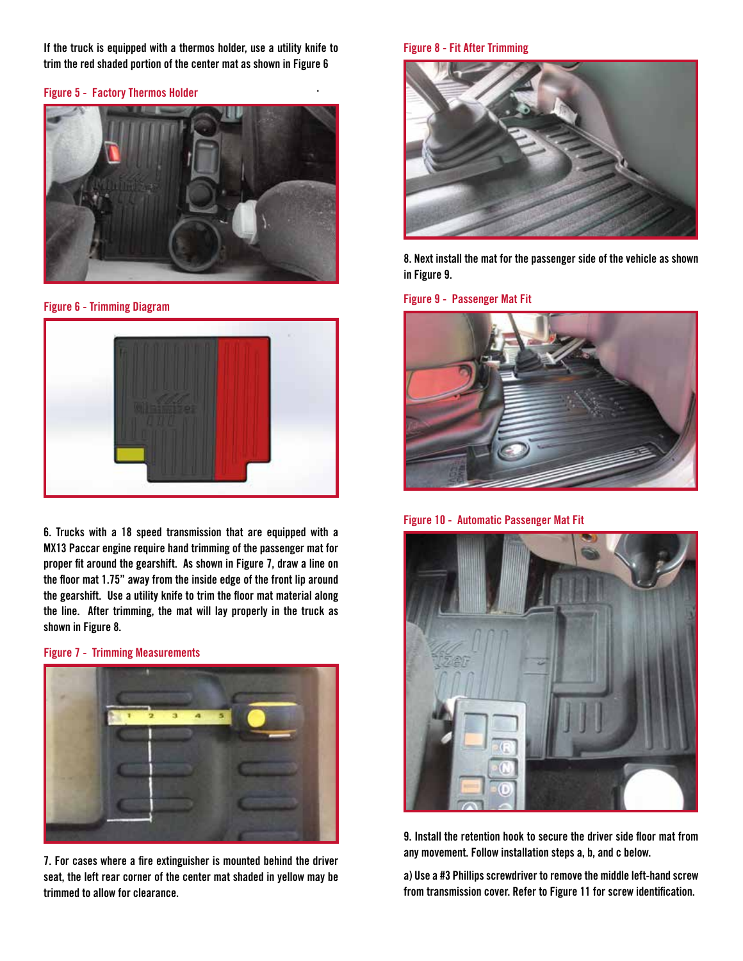**If the truck is equipped with a thermos holder, use a utility knife to trim the red shaded portion of the center mat as shown in Figure 6**

**.**

#### **Figure 5 - Factory Thermos Holder**



**Figure 6 - Trimming Diagram**



**6. Trucks with a 18 speed transmission that are equipped with a MX13 Paccar engine require hand trimming of the passenger mat for proper fit around the gearshift. As shown in Figure 7, draw a line on the floor mat 1.75" away from the inside edge of the front lip around the gearshift. Use a utility knife to trim the floor mat material along the line. After trimming, the mat will lay properly in the truck as shown in Figure 8.** 

**Figure 7 - Trimming Measurements**



**7. For cases where a fire extinguisher is mounted behind the driver seat, the left rear corner of the center mat shaded in yellow may be trimmed to allow for clearance.** 

#### **Figure 8 - Fit After Trimming**



**8. Next install the mat for the passenger side of the vehicle as shown in Figure 9.** 

#### **Figure 9 - Passenger Mat Fit**



**Figure 10 - Automatic Passenger Mat Fit**



**9. Install the retention hook to secure the driver side floor mat from any movement. Follow installation steps a, b, and c below.**

**a) Use a #3 Phillips screwdriver to remove the middle left-hand screw from transmission cover. Refer to Figure 11 for screw identification.**